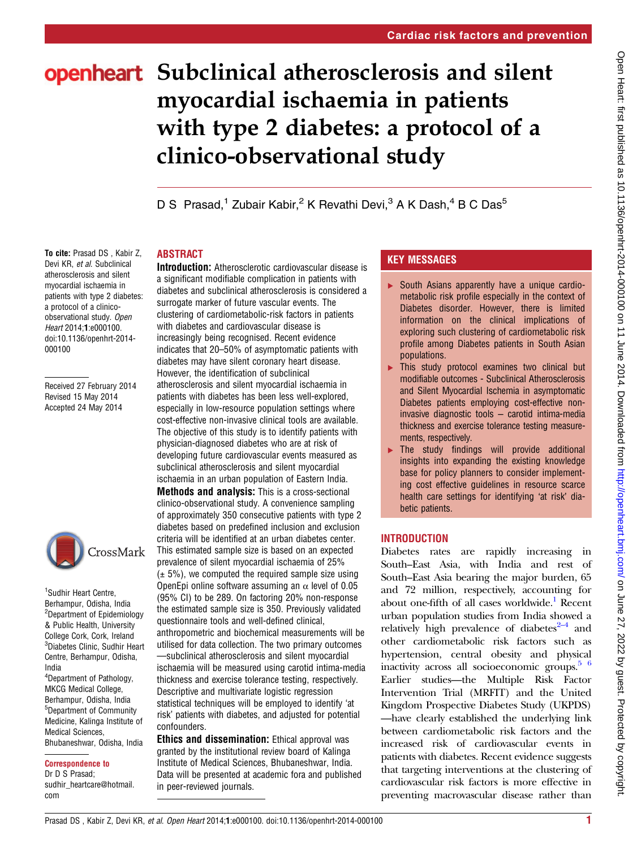# openheart Subclinical atherosclerosis and silent myocardial ischaemia in patients with type 2 diabetes: a protocol of a clinico-observational study

D S Prasad,<sup>1</sup> Zubair Kabir,<sup>2</sup> K Revathi Devi,<sup>3</sup> A K Dash,<sup>4</sup> B C Das<sup>5</sup>

# ABSTRACT

To cite: Prasad DS , Kabir Z, Devi KR, et al. Subclinical atherosclerosis and silent myocardial ischaemia in patients with type 2 diabetes: a protocol of a clinicoobservational study. Open Heart 2014;1:e000100. doi:10.1136/openhrt-2014- 000100

Received 27 February 2014 Revised 15 May 2014 Accepted 24 May 2014



1 Sudhir Heart Centre, Berhampur, Odisha, India <sup>2</sup>Department of Epidemiology & Public Health, University College Cork, Cork, Ireland 3 Diabetes Clinic, Sudhir Heart Centre, Berhampur, Odisha, India <sup>4</sup>Department of Pathology, MKCG Medical College, Berhampur, Odisha, India 5 Department of Community Medicine, Kalinga Institute of Medical Sciences,

# Bhubaneshwar, Odisha, India

Correspondence to

Dr D S Prasad; sudhir\_heartcare@hotmail. com

Introduction: Atherosclerotic cardiovascular disease is a significant modifiable complication in patients with diabetes and subclinical atherosclerosis is considered a surrogate marker of future vascular events. The clustering of cardiometabolic-risk factors in patients with diabetes and cardiovascular disease is increasingly being recognised. Recent evidence indicates that 20–50% of asymptomatic patients with diabetes may have silent coronary heart disease. However, the identification of subclinical atherosclerosis and silent myocardial ischaemia in patients with diabetes has been less well-explored, especially in low-resource population settings where cost-effective non-invasive clinical tools are available. The objective of this study is to identify patients with physician-diagnosed diabetes who are at risk of developing future cardiovascular events measured as subclinical atherosclerosis and silent myocardial ischaemia in an urban population of Eastern India.

Methods and analysis: This is a cross-sectional clinico-observational study. A convenience sampling of approximately 350 consecutive patients with type 2 diabetes based on predefined inclusion and exclusion criteria will be identified at an urban diabetes center. This estimated sample size is based on an expected prevalence of silent myocardial ischaemia of 25%  $(\pm 5\%)$ , we computed the required sample size using OpenEpi online software assuming an  $\alpha$  level of 0.05 (95% CI) to be 289. On factoring 20% non-response the estimated sample size is 350. Previously validated questionnaire tools and well-defined clinical, anthropometric and biochemical measurements will be utilised for data collection. The two primary outcomes —subclinical atherosclerosis and silent myocardial ischaemia will be measured using carotid intima-media thickness and exercise tolerance testing, respectively. Descriptive and multivariate logistic regression statistical techniques will be employed to identify 'at risk' patients with diabetes, and adjusted for potential confounders.

Ethics and dissemination: Ethical approval was granted by the institutional review board of Kalinga Institute of Medical Sciences, Bhubaneshwar, India. Data will be presented at academic fora and published in peer-reviewed journals.

# KEY MESSAGES

- ▶ South Asians apparently have a unique cardiometabolic risk profile especially in the context of Diabetes disorder. However, there is limited information on the clinical implications of exploring such clustering of cardiometabolic risk profile among Diabetes patients in South Asian populations.
- ▸ This study protocol examines two clinical but modifiable outcomes - Subclinical Atherosclerosis and Silent Myocardial Ischemia in asymptomatic Diabetes patients employing cost-effective noninvasive diagnostic tools – carotid intima-media thickness and exercise tolerance testing measurements, respectively.
- ▶ The study findings will provide additional insights into expanding the existing knowledge base for policy planners to consider implementing cost effective guidelines in resource scarce health care settings for identifying 'at risk' diabetic patients.

# **INTRODUCTION**

Diabetes rates are rapidly increasing in South–East Asia, with India and rest of South–East Asia bearing the major burden, 65 and 72 million, respectively, accounting for about one-fifth of all cases worldwide.<sup>1</sup> Recent urban population studies from India showed a relatively high prevalence of diabetes $2-4$  $2-4$  and other cardiometabolic risk factors such as hypertension, central obesity and physical inactivity across all socioeconomic groups[.5 6](#page-4-0) Earlier studies—the Multiple Risk Factor Intervention Trial (MRFIT) and the United Kingdom Prospective Diabetes Study (UKPDS) —have clearly established the underlying link between cardiometabolic risk factors and the increased risk of cardiovascular events in patients with diabetes. Recent evidence suggests that targeting interventions at the clustering of cardiovascular risk factors is more effective in preventing macrovascular disease rather than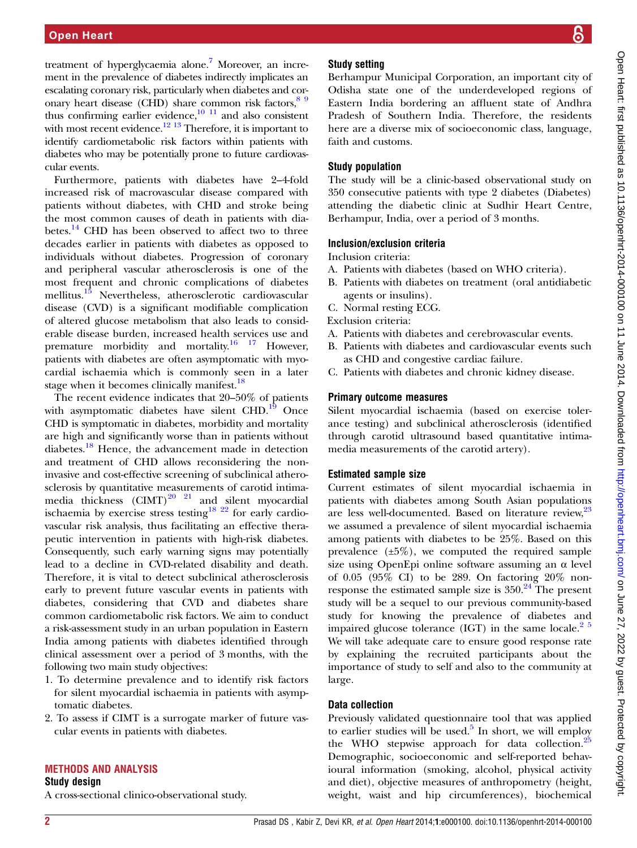treatment of hyperglycaemia alone.<sup>7</sup> Moreover, an increment in the prevalence of diabetes indirectly implicates an escalating coronary risk, particularly when diabetes and coronary heart disease (CHD) share common risk factors, $89$ thus confirming earlier evidence, $10^{-11}$  and also consistent with most recent evidence.<sup>12 13</sup> Therefore, it is important to identify cardiometabolic risk factors within patients with diabetes who may be potentially prone to future cardiovascular events.

Furthermore, patients with diabetes have 2–4-fold increased risk of macrovascular disease compared with patients without diabetes, with CHD and stroke being the most common causes of death in patients with diabetes. $^{14}$  $^{14}$  $^{14}$  CHD has been observed to affect two to three decades earlier in patients with diabetes as opposed to individuals without diabetes. Progression of coronary and peripheral vascular atherosclerosis is one of the most frequent and chronic complications of diabetes mellitus.<sup>[15](#page-4-0)</sup> Nevertheless, atherosclerotic cardiovascular disease (CVD) is a significant modifiable complication of altered glucose metabolism that also leads to considerable disease burden, increased health services use and premature morbidity and mortality.<sup>16</sup> <sup>17</sup> However, patients with diabetes are often asymptomatic with myocardial ischaemia which is commonly seen in a later stage when it becomes clinically manifest.<sup>[18](#page-4-0)</sup>

The recent evidence indicates that 20–50% of patients with asymptomatic diabetes have silent  $CHD<sup>19</sup>$  Once CHD is symptomatic in diabetes, morbidity and mortality are high and significantly worse than in patients without diabetes.<sup>[18](#page-4-0)</sup> Hence, the advancement made in detection and treatment of CHD allows reconsidering the noninvasive and cost-effective screening of subclinical atherosclerosis by quantitative measurements of carotid intimamedia thickness  $(CIMT)^{20}$ <sup>21</sup> and silent myocardial ischaemia by exercise stress testing<sup>[18 22](#page-4-0)</sup> for early cardiovascular risk analysis, thus facilitating an effective therapeutic intervention in patients with high-risk diabetes. Consequently, such early warning signs may potentially lead to a decline in CVD-related disability and death. Therefore, it is vital to detect subclinical atherosclerosis early to prevent future vascular events in patients with diabetes, considering that CVD and diabetes share common cardiometabolic risk factors. We aim to conduct a risk-assessment study in an urban population in Eastern India among patients with diabetes identified through clinical assessment over a period of 3 months, with the following two main study objectives:

- 1. To determine prevalence and to identify risk factors for silent myocardial ischaemia in patients with asymptomatic diabetes.
- 2. To assess if CIMT is a surrogate marker of future vascular events in patients with diabetes.

#### METHODS AND ANALYSIS

#### Study design

A cross-sectional clinico-observational study.

# Study setting

Berhampur Municipal Corporation, an important city of Odisha state one of the underdeveloped regions of Eastern India bordering an affluent state of Andhra Pradesh of Southern India. Therefore, the residents here are a diverse mix of socioeconomic class, language, faith and customs.

#### Study population

The study will be a clinic-based observational study on 350 consecutive patients with type 2 diabetes (Diabetes) attending the diabetic clinic at Sudhir Heart Centre, Berhampur, India, over a period of 3 months.

### Inclusion/exclusion criteria

Inclusion criteria:

- A. Patients with diabetes (based on WHO criteria).
- B. Patients with diabetes on treatment (oral antidiabetic agents or insulins).
- C. Normal resting ECG.

Exclusion criteria:

- A. Patients with diabetes and cerebrovascular events.
- B. Patients with diabetes and cardiovascular events such as CHD and congestive cardiac failure.
- C. Patients with diabetes and chronic kidney disease.

#### Primary outcome measures

Silent myocardial ischaemia (based on exercise tolerance testing) and subclinical atherosclerosis (identified through carotid ultrasound based quantitative intimamedia measurements of the carotid artery).

#### Estimated sample size

Current estimates of silent myocardial ischaemia in patients with diabetes among South Asian populations are less well-documented. Based on literature review,<sup>[23](#page-4-0)</sup> we assumed a prevalence of silent myocardial ischaemia among patients with diabetes to be 25%. Based on this prevalence  $(\pm 5\%)$ , we computed the required sample size using OpenEpi online software assuming an α level of 0.05 (95% CI) to be 289. On factoring 20% nonresponse the estimated sample size is  $350.<sup>24</sup>$  $350.<sup>24</sup>$  $350.<sup>24</sup>$  The present study will be a sequel to our previous community-based study for knowing the prevalence of diabetes and impaired glucose tolerance (IGT) in the same locale. $2^{5}$ We will take adequate care to ensure good response rate by explaining the recruited participants about the importance of study to self and also to the community at large.

#### Data collection

Previously validated questionnaire tool that was applied to earlier studies will be used.<sup>[5](#page-4-0)</sup> In short, we will employ the WHO stepwise approach for data collection. $25$ Demographic, socioeconomic and self-reported behavioural information (smoking, alcohol, physical activity and diet), objective measures of anthropometry (height, weight, waist and hip circumferences), biochemical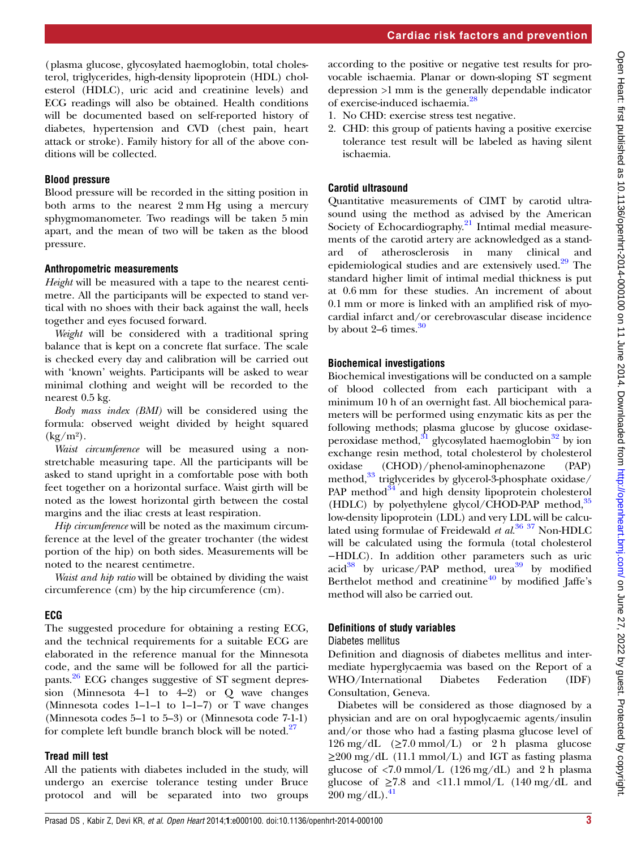(plasma glucose, glycosylated haemoglobin, total cholesterol, triglycerides, high-density lipoprotein (HDL) cholesterol (HDLC), uric acid and creatinine levels) and ECG readings will also be obtained. Health conditions will be documented based on self-reported history of diabetes, hypertension and CVD (chest pain, heart attack or stroke). Family history for all of the above conditions will be collected.

#### Blood pressure

Blood pressure will be recorded in the sitting position in both arms to the nearest 2 mm Hg using a mercury sphygmomanometer. Two readings will be taken 5 min apart, and the mean of two will be taken as the blood pressure.

#### Anthropometric measurements

Height will be measured with a tape to the nearest centimetre. All the participants will be expected to stand vertical with no shoes with their back against the wall, heels together and eyes focused forward.

Weight will be considered with a traditional spring balance that is kept on a concrete flat surface. The scale is checked every day and calibration will be carried out with 'known' weights. Participants will be asked to wear minimal clothing and weight will be recorded to the nearest 0.5 kg.

Body mass index (BMI) will be considered using the formula: observed weight divided by height squared  $(kg/m<sup>2</sup>)$ .

Waist circumference will be measured using a nonstretchable measuring tape. All the participants will be asked to stand upright in a comfortable pose with both feet together on a horizontal surface. Waist girth will be noted as the lowest horizontal girth between the costal margins and the iliac crests at least respiration.

Hip circumference will be noted as the maximum circumference at the level of the greater trochanter (the widest portion of the hip) on both sides. Measurements will be noted to the nearest centimetre.

Waist and hip ratio will be obtained by dividing the waist circumference (cm) by the hip circumference (cm).

### ECG

The suggested procedure for obtaining a resting ECG, and the technical requirements for a suitable ECG are elaborated in the reference manual for the Minnesota code, and the same will be followed for all the participants.[26](#page-4-0) ECG changes suggestive of ST segment depression (Minnesota 4–1 to 4–2) or Q wave changes (Minnesota codes  $1-1-1$  to  $1-1-7$ ) or T wave changes (Minnesota codes 5–1 to 5–3) or (Minnesota code 7-1-1) for complete left bundle branch block will be noted. $27$ 

### Tread mill test

All the patients with diabetes included in the study, will undergo an exercise tolerance testing under Bruce protocol and will be separated into two groups

according to the positive or negative test results for provocable ischaemia. Planar or down-sloping ST segment depression >1 mm is the generally dependable indicator of exercise-induced ischaemia.[28](#page-4-0)

- 1. No CHD: exercise stress test negative.
- 2. CHD: this group of patients having a positive exercise tolerance test result will be labeled as having silent ischaemia.

# Carotid ultrasound

Quantitative measurements of CIMT by carotid ultrasound using the method as advised by the American Society of Echocardiography. $21$  Intimal medial measurements of the carotid artery are acknowledged as a standard of atherosclerosis in many clinical and epidemiological studies and are extensively used.<sup>[29](#page-5-0)</sup> The standard higher limit of intimal medial thickness is put at 0.6 mm for these studies. An increment of about 0.1 mm or more is linked with an amplified risk of myocardial infarct and/or cerebrovascular disease incidence by about 2–6 times. $30$ 

### Biochemical investigations

Biochemical investigations will be conducted on a sample of blood collected from each participant with a minimum 10 h of an overnight fast. All biochemical parameters will be performed using enzymatic kits as per the following methods; plasma glucose by glucose oxidaseperoxidase method, $31$  glycosylated haemoglobin<sup>[32](#page-5-0)</sup> by ion exchange resin method, total cholesterol by cholesterol oxidase (CHOD)/phenol-aminophenazone (PAP) method, $33$  triglycerides by glycerol-3-phosphate oxidase/ PAP method $34$  and high density lipoprotein cholesterol (HDLC) by polyethylene glycol/CHOD-PAP method, $35$ low-density lipoprotein (LDL) and very LDL will be calculated using formulae of Freidewald et  $al^{36}$  37 Non-HDLC will be calculated using the formula (total cholesterol −HDLC). In addition other parameters such as uric acid<sup>[38](#page-5-0)</sup> by uricase/PAP method, urea<sup>[39](#page-5-0)</sup> by modified Berthelot method and creatinine $40$  by modified Jaffe's method will also be carried out.

### Definitions of study variables

#### Diabetes mellitus

Definition and diagnosis of diabetes mellitus and intermediate hyperglycaemia was based on the Report of a WHO/International Diabetes Federation (IDF) Consultation, Geneva.

Diabetes will be considered as those diagnosed by a physician and are on oral hypoglycaemic agents/insulin and/or those who had a fasting plasma glucose level of 126 mg/dL  $(\geq 7.0 \text{ mmol/L})$  or 2 h plasma glucose  $\geq$ 200 mg/dL (11.1 mmol/L) and IGT as fasting plasma glucose of <7.0 mmol/L (126 mg/dL) and 2 h plasma glucose of  $\geq 7.8$  and <11.1 mmol/L (140 mg/dL and  $200 \text{ mg/dL}$ .<sup>[41](#page-5-0)</sup>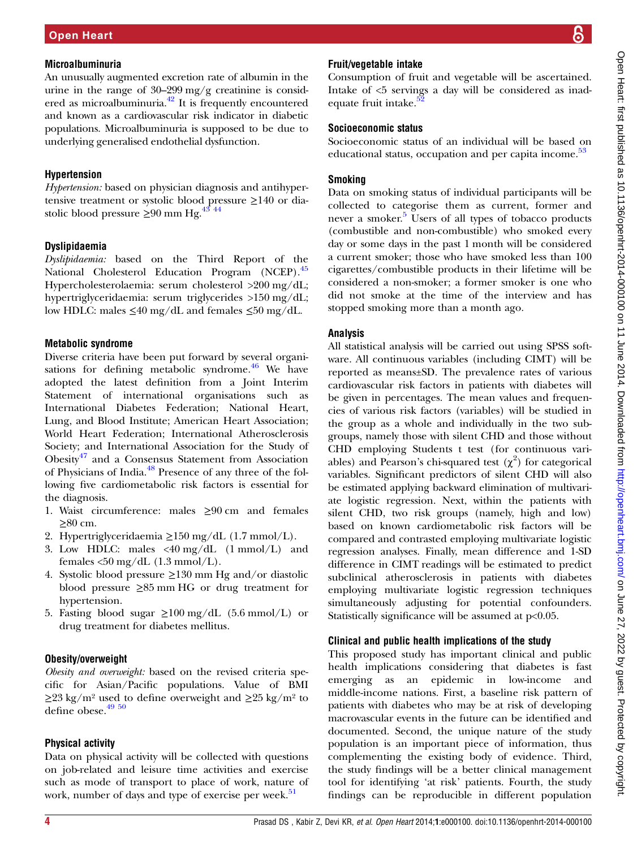# Microalbuminuria

An unusually augmented excretion rate of albumin in the urine in the range of 30–299 mg/g creatinine is consid-ered as microalbuminuria.<sup>[42](#page-5-0)</sup> It is frequently encountered and known as a cardiovascular risk indicator in diabetic populations. Microalbuminuria is supposed to be due to underlying generalised endothelial dysfunction.

# Hypertension

Hypertension: based on physician diagnosis and antihypertensive treatment or systolic blood pressure ≥140 or diastolic blood pressure  $\geq 90$  mm Hg.<sup>[43 44](#page-5-0)</sup>

# Dyslipidaemia

Dyslipidaemia: based on the Third Report of the National Cholesterol Education Program (NCEP).<sup>[45](#page-5-0)</sup> Hypercholesterolaemia: serum cholesterol >200 mg/dL; hypertriglyceridaemia: serum triglycerides >150 mg/dL; low HDLC: males  $\leq 40$  mg/dL and females  $\leq 50$  mg/dL.

# Metabolic syndrome

Diverse criteria have been put forward by several organisations for defining metabolic syndrome. $46$  We have adopted the latest definition from a Joint Interim Statement of international organisations such as International Diabetes Federation; National Heart, Lung, and Blood Institute; American Heart Association; World Heart Federation; International Atherosclerosis Society; and International Association for the Study of Obesity<sup>[47](#page-5-0)</sup> and a Consensus Statement from Association of Physicians of India.[48](#page-5-0) Presence of any three of the following five cardiometabolic risk factors is essential for the diagnosis.

- 1. Waist circumference: males  $\geq 90$  cm and females ≥80 cm.
- 2. Hypertriglyceridaemia  $\geq 150$  mg/dL (1.7 mmol/L).
- 3. Low HDLC: males <40 mg/dL (1 mmol/L) and females  $\langle 50 \text{ mg/dL} (1.3 \text{ mmol/L})$ .
- 4. Systolic blood pressure  $\geq$ 130 mm Hg and/or diastolic blood pressure ≥85 mm HG or drug treatment for hypertension.
- 5. Fasting blood sugar  $\geq 100$  mg/dL (5.6 mmol/L) or drug treatment for diabetes mellitus.

# Obesity/overweight

Obesity and overweight: based on the revised criteria specific for Asian/Pacific populations. Value of BMI  $≥23$  kg/m<sup>2</sup> used to define overweight and  $≥25$  kg/m<sup>2</sup> to define obese.<sup>[49 50](#page-5-0)</sup>

# Physical activity

Data on physical activity will be collected with questions on job-related and leisure time activities and exercise such as mode of transport to place of work, nature of work, number of days and type of exercise per week. $51$ 

# Fruit/vegetable intake

Consumption of fruit and vegetable will be ascertained. Intake of <5 servings a day will be considered as inadequate fruit intake.<sup>5</sup>

# Socioeconomic status

Socioeconomic status of an individual will be based on educational status, occupation and per capita income.<sup>[53](#page-5-0)</sup>

# Smoking

Data on smoking status of individual participants will be collected to categorise them as current, former and never a smoker.<sup>[5](#page-4-0)</sup> Users of all types of tobacco products (combustible and non-combustible) who smoked every day or some days in the past 1 month will be considered a current smoker; those who have smoked less than 100 cigarettes/combustible products in their lifetime will be considered a non-smoker; a former smoker is one who did not smoke at the time of the interview and has stopped smoking more than a month ago.

# Analysis

All statistical analysis will be carried out using SPSS software. All continuous variables (including CIMT) will be reported as means±SD. The prevalence rates of various cardiovascular risk factors in patients with diabetes will be given in percentages. The mean values and frequencies of various risk factors (variables) will be studied in the group as a whole and individually in the two subgroups, namely those with silent CHD and those without CHD employing Students t test (for continuous variables) and Pearson's chi-squared test  $(\chi^2)$  for categorical variables. Significant predictors of silent CHD will also be estimated applying backward elimination of multivariate logistic regression. Next, within the patients with silent CHD, two risk groups (namely, high and low) based on known cardiometabolic risk factors will be compared and contrasted employing multivariate logistic regression analyses. Finally, mean difference and 1-SD difference in CIMT readings will be estimated to predict subclinical atherosclerosis in patients with diabetes employing multivariate logistic regression techniques simultaneously adjusting for potential confounders. Statistically significance will be assumed at p<0.05.

# Clinical and public health implications of the study

This proposed study has important clinical and public health implications considering that diabetes is fast emerging as an epidemic in low-income and middle-income nations. First, a baseline risk pattern of patients with diabetes who may be at risk of developing macrovascular events in the future can be identified and documented. Second, the unique nature of the study population is an important piece of information, thus complementing the existing body of evidence. Third, the study findings will be a better clinical management tool for identifying 'at risk' patients. Fourth, the study findings can be reproducible in different population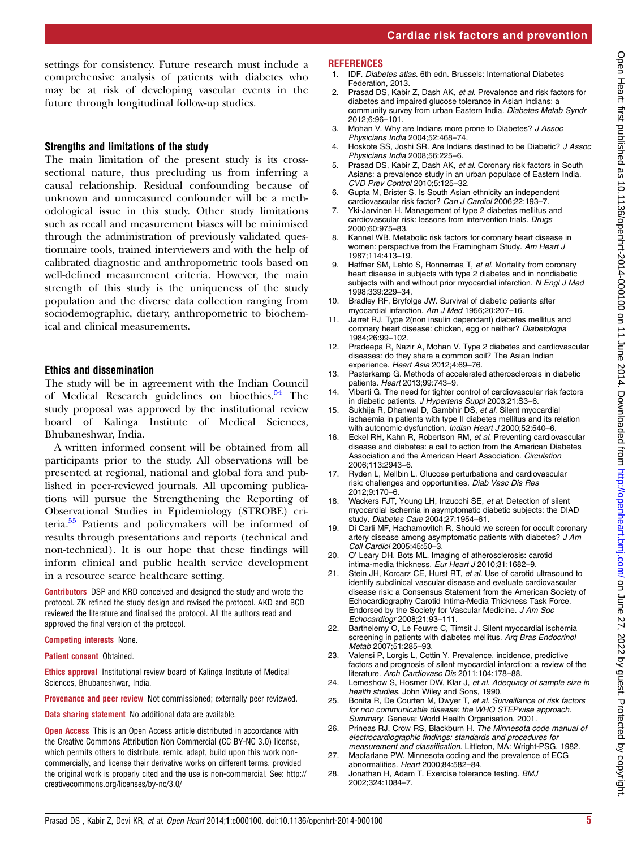<span id="page-4-0"></span>settings for consistency. Future research must include a comprehensive analysis of patients with diabetes who may be at risk of developing vascular events in the future through longitudinal follow-up studies.

# Strengths and limitations of the study

The main limitation of the present study is its crosssectional nature, thus precluding us from inferring a causal relationship. Residual confounding because of unknown and unmeasured confounder will be a methodological issue in this study. Other study limitations such as recall and measurement biases will be minimised through the administration of previously validated questionnaire tools, trained interviewers and with the help of calibrated diagnostic and anthropometric tools based on well-defined measurement criteria. However, the main strength of this study is the uniqueness of the study population and the diverse data collection ranging from sociodemographic, dietary, anthropometric to biochemical and clinical measurements.

# Ethics and dissemination

The study will be in agreement with the Indian Council of Medical Research guidelines on bioethics.<sup>[54](#page-5-0)</sup> The study proposal was approved by the institutional review board of Kalinga Institute of Medical Sciences, Bhubaneshwar, India.

A written informed consent will be obtained from all participants prior to the study. All observations will be presented at regional, national and global fora and published in peer-reviewed journals. All upcoming publications will pursue the Strengthening the Reporting of Observational Studies in Epidemiology (STROBE) criteria.[55](#page-5-0) Patients and policymakers will be informed of results through presentations and reports (technical and non-technical). It is our hope that these findings will inform clinical and public health service development in a resource scarce healthcare setting.

Contributors DSP and KRD conceived and designed the study and wrote the protocol. ZK refined the study design and revised the protocol. AKD and BCD reviewed the literature and finalised the protocol. All the authors read and approved the final version of the protocol.

#### Competing interests None.

Patient consent Obtained.

Ethics approval Institutional review board of Kalinga Institute of Medical Sciences, Bhubaneshwar, India.

Provenance and peer review Not commissioned; externally peer reviewed.

Data sharing statement No additional data are available.

**Open Access** This is an Open Access article distributed in accordance with the Creative Commons Attribution Non Commercial (CC BY-NC 3.0) license, which permits others to distribute, remix, adapt, build upon this work noncommercially, and license their derivative works on different terms, provided the original work is properly cited and the use is non-commercial. See: [http://](http://creativecommons.org/licenses/by-nc/3.0/) [creativecommons.org/licenses/by-nc/3.0/](http://creativecommons.org/licenses/by-nc/3.0/)

#### **REFERENCES**

- 1. IDF. Diabetes atlas. 6th edn. Brussels: International Diabetes Federation, 2013.
- 2. Prasad DS, Kabir Z, Dash AK, et al. Prevalence and risk factors for diabetes and impaired glucose tolerance in Asian Indians: a community survey from urban Eastern India. Diabetes Metab Syndr 2012;6:96–101.
- 3. Mohan V. Why are Indians more prone to Diabetes? J Assoc Physicians India 2004;52:468–74.
- Hoskote SS, Joshi SR. Are Indians destined to be Diabetic? J Assoc Physicians India 2008;56:225–6.
- 5. Prasad DS, Kabir Z, Dash AK, et al. Coronary risk factors in South Asians: a prevalence study in an urban populace of Eastern India. CVD Prev Control 2010;5:125–32.
- 6. Gupta M, Brister S. Is South Asian ethnicity an independent cardiovascular risk factor? Can J Cardiol 2006;22:193–7.
- 7. Yki-Jarvinen H. Management of type 2 diabetes mellitus and cardiovascular risk: lessons from intervention trials. Drugs 2000;60:975–83.
- 8. Kannel WB. Metabolic risk factors for coronary heart disease in women: perspective from the Framingham Study. Am Heart J 1987;114:413–19.
- 9. Haffner SM, Lehto S, Ronnemaa T, et al. Mortality from coronary heart disease in subjects with type 2 diabetes and in nondiabetic subjects with and without prior myocardial infarction. N Engl J Med 1998;339:229–34.
- 10. Bradley RF, Bryfolge JW. Survival of diabetic patients after myocardial infarction. Am J Med 1956;20:207–16.
- 11. Jarret RJ. Type 2(non insulin dependant) diabetes mellitus and coronary heart disease: chicken, egg or neither? Diabetologia 1984;26:99–102.
- 12. Pradeepa R, Nazir A, Mohan V. Type 2 diabetes and cardiovascular diseases: do they share a common soil? The Asian Indian experience. Heart Asia 2012;4:69–76.
- 13. Pasterkamp G. Methods of accelerated atherosclerosis in diabetic patients. Heart 2013;99:743–9.
- 14. Viberti G. The need for tighter control of cardiovascular risk factors in diabetic patients. J Hypertens Suppl 2003;21:S3-6.
- 15. Sukhija R, Dhanwal D, Gambhir DS, et al. Silent myocardial ischaemia in patients with type II diabetes mellitus and its relation with autonomic dysfunction. Indian Heart J 2000;52:540-6.
- 16. Eckel RH, Kahn R, Robertson RM, et al. Preventing cardiovascular disease and diabetes: a call to action from the American Diabetes Association and the American Heart Association. Circulation 2006;113:2943–6.
- 17. Ryden L, Mellbin L. Glucose perturbations and cardiovascular risk: challenges and opportunities. Diab Vasc Dis Res 2012;9:170–6.
- 18. Wackers FJT, Young LH, Inzucchi SE, et al. Detection of silent myocardial ischemia in asymptomatic diabetic subjects: the DIAD study. Diabetes Care 2004;27:1954–61.
- 19. Di Carli MF, Hachamovitch R. Should we screen for occult coronary artery disease among asymptomatic patients with diabetes? J Am Coll Cardiol 2005;45:50–3.
- 20. O' Leary DH, Bots ML. Imaging of atherosclerosis: carotid intima-media thickness. Eur Heart J 2010;31:1682–9.
- 21. Stein JH, Korcarz CE, Hurst RT, et al. Use of carotid ultrasound to identify subclinical vascular disease and evaluate cardiovascular disease risk: a Consensus Statement from the American Society of Echocardiography Carotid Intima-Media Thickness Task Force. Endorsed by the Society for Vascular Medicine. J Am Soc Echocardiogr 2008;21:93–111.
- 22. Barthelemy O, Le Feuvre C, Timsit J. Silent myocardial ischemia screening in patients with diabetes mellitus. Arq Bras Endocrinol Metab 2007;51:285–93.
- 23. Valensi P, Lorgis L, Cottin Y. Prevalence, incidence, predictive factors and prognosis of silent myocardial infarction: a review of the literature. Arch Cardiovasc Dis 2011;104:178–88.
- 24. Lemeshow S, Hosmer DW, Klar J, et al. Adequacy of sample size in health studies. John Wiley and Sons, 1990.
- 25. Bonita R, De Courten M, Dwyer T, et al. Surveillance of risk factors for non communicable disease: the WHO STEPwise approach. Summary. Geneva: World Health Organisation, 2001.
- 26. Prineas RJ, Crow RS, Blackburn H. The Minnesota code manual of electrocardiographic findings: standards and procedures for measurement and classification. Littleton, MA: Wright-PSG, 1982.
- 27. Macfarlane PW. Minnesota coding and the prevalence of ECG abnormalities. Heart 2000;84:582–84.
- 28. Jonathan H, Adam T. Exercise tolerance testing. BMJ 2002;324:1084–7.